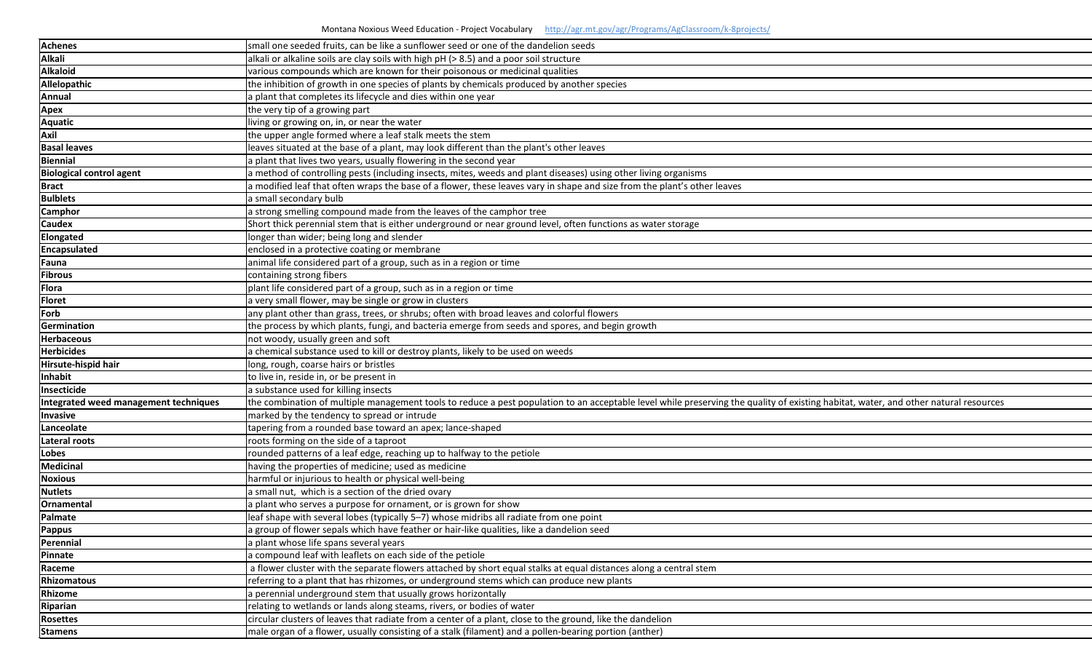| <b>Achenes</b>                        | small one seeded fruits, can be like a sunflower seed or one of the dandelion seeds                                         |
|---------------------------------------|-----------------------------------------------------------------------------------------------------------------------------|
| <b>Alkali</b>                         | alkali or alkaline soils are clay soils with high pH (> 8.5) and a poor soil structure                                      |
| <b>Alkaloid</b>                       | various compounds which are known for their poisonous or medicinal qualities                                                |
| Allelopathic                          | the inhibition of growth in one species of plants by chemicals produced by another species                                  |
| Annual                                | a plant that completes its lifecycle and dies within one year                                                               |
| <b>Apex</b>                           | the very tip of a growing part                                                                                              |
| <b>Aquatic</b>                        | living or growing on, in, or near the water                                                                                 |
| Axil                                  | the upper angle formed where a leaf stalk meets the stem                                                                    |
| <b>Basal leaves</b>                   | leaves situated at the base of a plant, may look different than the plant's other leaves                                    |
| <b>Biennial</b>                       | a plant that lives two years, usually flowering in the second year                                                          |
| <b>Biological control agent</b>       | a method of controlling pests (including insects, mites, weeds and plant diseases) using other living organisms             |
| <b>Bract</b>                          | a modified leaf that often wraps the base of a flower, these leaves vary in shape and size from the plant's other leaves    |
| <b>Bulblets</b>                       | a small secondary bulb                                                                                                      |
| <b>Camphor</b>                        | a strong smelling compound made from the leaves of the camphor tree                                                         |
| <b>Caudex</b>                         | Short thick perennial stem that is either underground or near ground level, often functions as water storage                |
| Elongated                             | longer than wider; being long and slender                                                                                   |
| Encapsulated                          | enclosed in a protective coating or membrane                                                                                |
| Fauna                                 | animal life considered part of a group, such as in a region or time                                                         |
| <b>Fibrous</b>                        | containing strong fibers                                                                                                    |
| <b>Flora</b>                          | plant life considered part of a group, such as in a region or time                                                          |
| <b>Floret</b>                         | a very small flower, may be single or grow in clusters                                                                      |
| Forb                                  | any plant other than grass, trees, or shrubs; often with broad leaves and colorful flowers                                  |
| Germination                           | the process by which plants, fungi, and bacteria emerge from seeds and spores, and begin growth                             |
| <b>Herbaceous</b>                     | not woody, usually green and soft                                                                                           |
| <b>Herbicides</b>                     | a chemical substance used to kill or destroy plants, likely to be used on weeds                                             |
| Hirsute-hispid hair                   | long, rough, coarse hairs or bristles                                                                                       |
| Inhabit                               | to live in, reside in, or be present in                                                                                     |
| Insecticide                           | a substance used for killing insects                                                                                        |
| Integrated weed management techniques | the combination of multiple management tools to reduce a pest population to an acceptable level while preserving the qualit |
| Invasive                              | marked by the tendency to spread or intrude                                                                                 |
| Lanceolate                            | tapering from a rounded base toward an apex; lance-shaped                                                                   |
| Lateral roots                         | roots forming on the side of a taproot                                                                                      |
| Lobes                                 | rounded patterns of a leaf edge, reaching up to halfway to the petiole                                                      |
| <b>Medicinal</b>                      | having the properties of medicine; used as medicine                                                                         |
| <b>Noxious</b>                        | harmful or injurious to health or physical well-being                                                                       |
| <b>Nutlets</b>                        | a small nut, which is a section of the dried ovary                                                                          |
| Ornamental                            | a plant who serves a purpose for ornament, or is grown for show                                                             |
| Palmate                               | leaf shape with several lobes (typically 5-7) whose midribs all radiate from one point                                      |
| Pappus                                | a group of flower sepals which have feather or hair-like qualities, like a dandelion seed                                   |
| Perennial                             | a plant whose life spans several years                                                                                      |
| <b>Pinnate</b>                        | a compound leaf with leaflets on each side of the petiole                                                                   |
| Raceme                                | a flower cluster with the separate flowers attached by short equal stalks at equal distances along a central stem           |
| <b>Rhizomatous</b>                    | referring to a plant that has rhizomes, or underground stems which can produce new plants                                   |
| Rhizome                               | a perennial underground stem that usually grows horizontally                                                                |
| Riparian                              | relating to wetlands or lands along steams, rivers, or bodies of water                                                      |
| <b>Rosettes</b>                       | circular clusters of leaves that radiate from a center of a plant, close to the ground, like the dandelion                  |
| <b>Stamens</b>                        | male organ of a flower, usually consisting of a stalk (filament) and a pollen-bearing portion (anther)                      |



## ty of existing habitat, water, and other natural resources